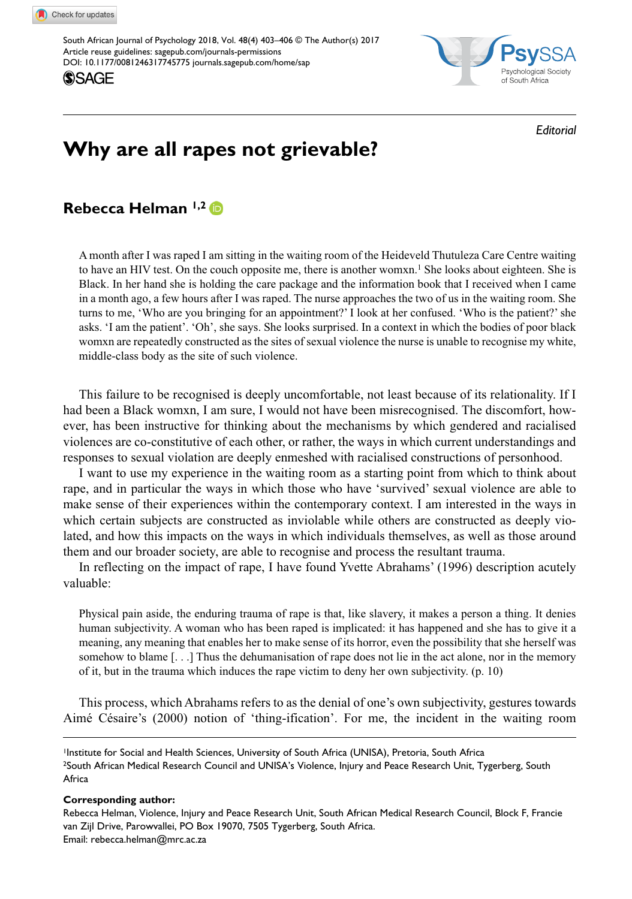DOI: 10.1177/0081246317745775 [journals.sagepub.com/home/sap](https://journals.sagepub.com/home/sap) South African Journal of Psychology 2018, Vol. 48(4) 403–406 © The Author(s) 2017 [Article reuse guidelines: sagepub.com/journals-permissions](https://uk.sagepub.com/en-gb/journals-permissions)





*Editorial*

# **Why are all rapes not grievable?**

|  | Rebecca Helman 1,2 D |  |
|--|----------------------|--|
|--|----------------------|--|

A month after I was raped I am sitting in the waiting room of the Heideveld Thutuleza Care Centre waiting to have an HIV test. On the couch opposite me, there is another womxn.<sup>1</sup> She looks about eighteen. She is Black. In her hand she is holding the care package and the information book that I received when I came in a month ago, a few hours after I was raped. The nurse approaches the two of us in the waiting room. She turns to me, 'Who are you bringing for an appointment?' I look at her confused. 'Who is the patient?' she asks. 'I am the patient'. 'Oh', she says. She looks surprised. In a context in which the bodies of poor black womxn are repeatedly constructed as the sites of sexual violence the nurse is unable to recognise my white, middle-class body as the site of such violence.

This failure to be recognised is deeply uncomfortable, not least because of its relationality. If I had been a Black womxn, I am sure, I would not have been misrecognised. The discomfort, however, has been instructive for thinking about the mechanisms by which gendered and racialised violences are co-constitutive of each other, or rather, the ways in which current understandings and responses to sexual violation are deeply enmeshed with racialised constructions of personhood.

I want to use my experience in the waiting room as a starting point from which to think about rape, and in particular the ways in which those who have 'survived' sexual violence are able to make sense of their experiences within the contemporary context. I am interested in the ways in which certain subjects are constructed as inviolable while others are constructed as deeply violated, and how this impacts on the ways in which individuals themselves, as well as those around them and our broader society, are able to recognise and process the resultant trauma.

In reflecting on the impact of rape, I have found Yvette Abrahams' (1996) description acutely valuable:

Physical pain aside, the enduring trauma of rape is that, like slavery, it makes a person a thing. It denies human subjectivity. A woman who has been raped is implicated: it has happened and she has to give it a meaning, any meaning that enables her to make sense of its horror, even the possibility that she herself was somehow to blame [. . .] Thus the dehumanisation of rape does not lie in the act alone, nor in the memory of it, but in the trauma which induces the rape victim to deny her own subjectivity. (p. 10)

This process, which Abrahams refers to as the denial of one's own subjectivity, gestures towards Aimé Césaire's (2000) notion of 'thing-ification'. For me, the incident in the waiting room

<sup>1</sup>Institute for Social and Health Sciences, University of South Africa (UNISA), Pretoria, South Africa 2South African Medical Research Council and UNISA's Violence, Injury and Peace Research Unit, Tygerberg, South Africa

#### **Corresponding author:**

Rebecca Helman, Violence, Injury and Peace Research Unit, South African Medical Research Council, Block F, Francie van Zijl Drive, Parowvallei, PO Box 19070, 7505 Tygerberg, South Africa. Email: [rebecca.helman@mrc.ac.za](mailto:rebecca.helman@mrc.ac.za)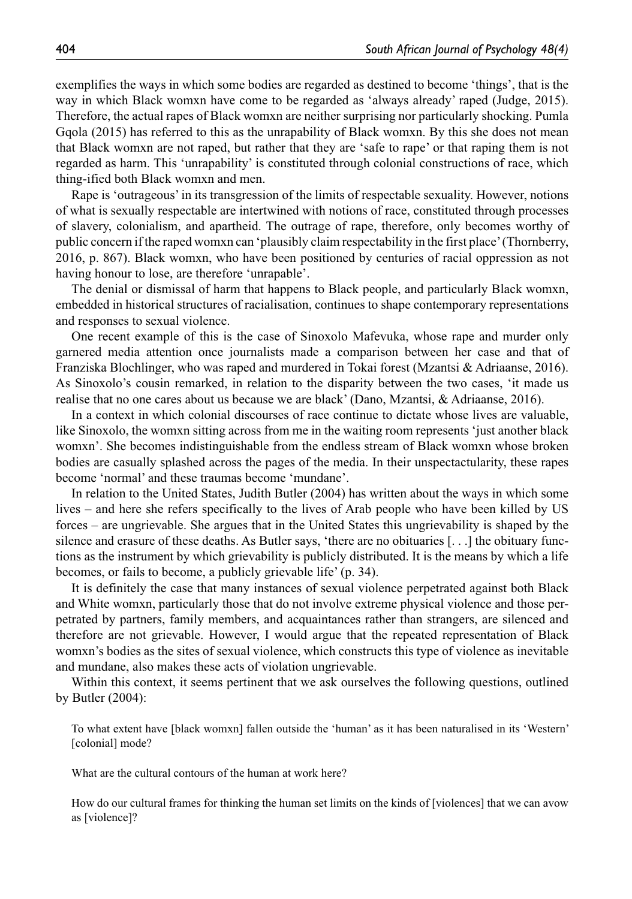exemplifies the ways in which some bodies are regarded as destined to become 'things', that is the way in which Black womxn have come to be regarded as 'always already' raped (Judge, 2015). Therefore, the actual rapes of Black womxn are neither surprising nor particularly shocking. Pumla Gqola (2015) has referred to this as the unrapability of Black womxn. By this she does not mean that Black womxn are not raped, but rather that they are 'safe to rape' or that raping them is not regarded as harm. This 'unrapability' is constituted through colonial constructions of race, which thing-ified both Black womxn and men.

Rape is 'outrageous' in its transgression of the limits of respectable sexuality. However, notions of what is sexually respectable are intertwined with notions of race, constituted through processes of slavery, colonialism, and apartheid. The outrage of rape, therefore, only becomes worthy of public concern if the raped womxn can 'plausibly claim respectability in the first place' (Thornberry, 2016, p. 867). Black womxn, who have been positioned by centuries of racial oppression as not having honour to lose, are therefore 'unrapable'.

The denial or dismissal of harm that happens to Black people, and particularly Black womxn, embedded in historical structures of racialisation, continues to shape contemporary representations and responses to sexual violence.

One recent example of this is the case of Sinoxolo Mafevuka, whose rape and murder only garnered media attention once journalists made a comparison between her case and that of Franziska Blochlinger, who was raped and murdered in Tokai forest (Mzantsi & Adriaanse, 2016). As Sinoxolo's cousin remarked, in relation to the disparity between the two cases, 'it made us realise that no one cares about us because we are black' (Dano, Mzantsi, & Adriaanse, 2016).

In a context in which colonial discourses of race continue to dictate whose lives are valuable, like Sinoxolo, the womxn sitting across from me in the waiting room represents 'just another black womxn'. She becomes indistinguishable from the endless stream of Black womxn whose broken bodies are casually splashed across the pages of the media. In their unspectactularity, these rapes become 'normal' and these traumas become 'mundane'.

In relation to the United States, Judith Butler (2004) has written about the ways in which some lives – and here she refers specifically to the lives of Arab people who have been killed by US forces – are ungrievable. She argues that in the United States this ungrievability is shaped by the silence and erasure of these deaths. As Butler says, 'there are no obituaries [. . .] the obituary functions as the instrument by which grievability is publicly distributed. It is the means by which a life becomes, or fails to become, a publicly grievable life' (p. 34).

It is definitely the case that many instances of sexual violence perpetrated against both Black and White womxn, particularly those that do not involve extreme physical violence and those perpetrated by partners, family members, and acquaintances rather than strangers, are silenced and therefore are not grievable. However, I would argue that the repeated representation of Black womxn's bodies as the sites of sexual violence, which constructs this type of violence as inevitable and mundane, also makes these acts of violation ungrievable.

Within this context, it seems pertinent that we ask ourselves the following questions, outlined by Butler (2004):

To what extent have [black womxn] fallen outside the 'human' as it has been naturalised in its 'Western' [colonial] mode?

What are the cultural contours of the human at work here?

How do our cultural frames for thinking the human set limits on the kinds of [violences] that we can avow as [violence]?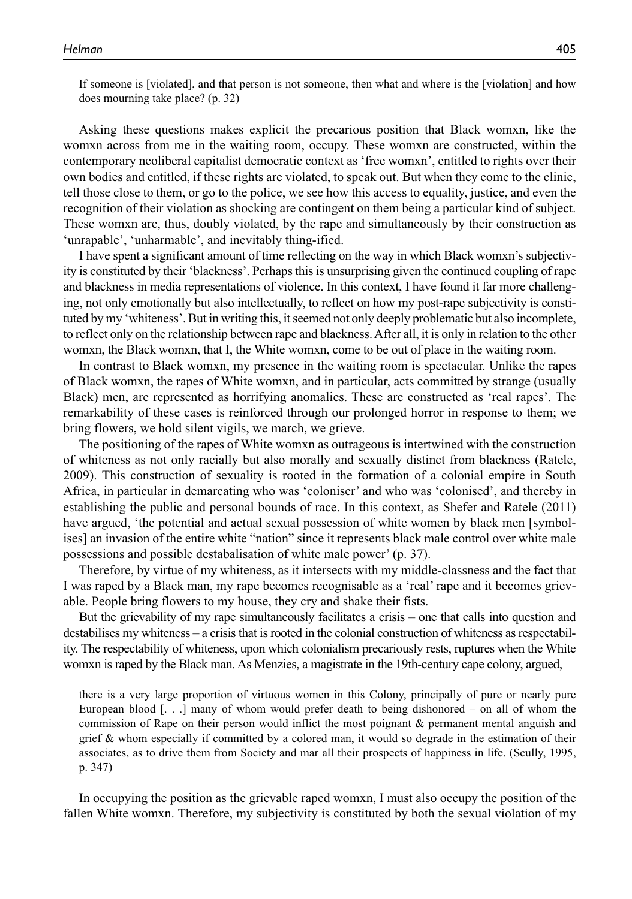If someone is [violated], and that person is not someone, then what and where is the [violation] and how does mourning take place? (p. 32)

Asking these questions makes explicit the precarious position that Black womxn, like the womxn across from me in the waiting room, occupy. These womxn are constructed, within the contemporary neoliberal capitalist democratic context as 'free womxn', entitled to rights over their own bodies and entitled, if these rights are violated, to speak out. But when they come to the clinic, tell those close to them, or go to the police, we see how this access to equality, justice, and even the recognition of their violation as shocking are contingent on them being a particular kind of subject. These womxn are, thus, doubly violated, by the rape and simultaneously by their construction as 'unrapable', 'unharmable', and inevitably thing-ified.

I have spent a significant amount of time reflecting on the way in which Black womxn's subjectivity is constituted by their 'blackness'. Perhaps this is unsurprising given the continued coupling of rape and blackness in media representations of violence. In this context, I have found it far more challenging, not only emotionally but also intellectually, to reflect on how my post-rape subjectivity is constituted by my 'whiteness'. But in writing this, it seemed not only deeply problematic but also incomplete, to reflect only on the relationship between rape and blackness. After all, it is only in relation to the other womxn, the Black womxn, that I, the White womxn, come to be out of place in the waiting room.

In contrast to Black womxn, my presence in the waiting room is spectacular. Unlike the rapes of Black womxn, the rapes of White womxn, and in particular, acts committed by strange (usually Black) men, are represented as horrifying anomalies. These are constructed as 'real rapes'. The remarkability of these cases is reinforced through our prolonged horror in response to them; we bring flowers, we hold silent vigils, we march, we grieve.

The positioning of the rapes of White womxn as outrageous is intertwined with the construction of whiteness as not only racially but also morally and sexually distinct from blackness (Ratele, 2009). This construction of sexuality is rooted in the formation of a colonial empire in South Africa, in particular in demarcating who was 'coloniser' and who was 'colonised', and thereby in establishing the public and personal bounds of race. In this context, as Shefer and Ratele (2011) have argued, 'the potential and actual sexual possession of white women by black men [symbolises] an invasion of the entire white "nation" since it represents black male control over white male possessions and possible destabalisation of white male power' (p. 37).

Therefore, by virtue of my whiteness, as it intersects with my middle-classness and the fact that I was raped by a Black man, my rape becomes recognisable as a 'real' rape and it becomes grievable. People bring flowers to my house, they cry and shake their fists.

But the grievability of my rape simultaneously facilitates a crisis – one that calls into question and destabilises my whiteness – a crisis that is rooted in the colonial construction of whiteness as respectability. The respectability of whiteness, upon which colonialism precariously rests, ruptures when the White womxn is raped by the Black man. As Menzies, a magistrate in the 19th-century cape colony, argued,

there is a very large proportion of virtuous women in this Colony, principally of pure or nearly pure European blood  $[$ .  $]$  many of whom would prefer death to being dishonored – on all of whom the commission of Rape on their person would inflict the most poignant & permanent mental anguish and grief & whom especially if committed by a colored man, it would so degrade in the estimation of their associates, as to drive them from Society and mar all their prospects of happiness in life. (Scully, 1995, p. 347)

In occupying the position as the grievable raped womxn, I must also occupy the position of the fallen White womxn. Therefore, my subjectivity is constituted by both the sexual violation of my